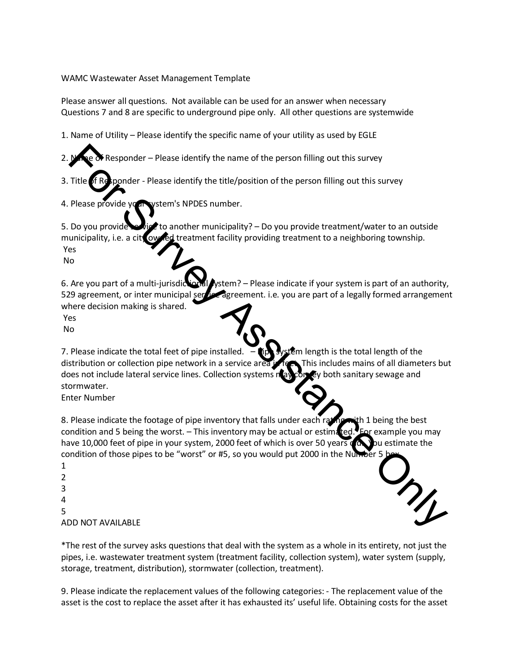## WAMC Wastewater Asset Management Template

Please answer all questions. Not available can be used for an answer when necessary Questions 7 and 8 are specific to underground pipe only. All other questions are systemwide

1. Name of Utility – Please identify the specific name of your utility as used by EGLE

- Responder Please identify the name of the person filling out this survey
- 3. Title  $\delta$ f Responder Please identify the title/position of the person filling out this survey
- 4. Please provide your vstem's NPDES number.

5. Do you provide service to another municipality? – Do you provide treatment/water to an outside municipality, i.e. a city owned treatment facility providing treatment to a neighboring township. Yes No

6. Are you part of a multi-jurisdictional system? – Please indicate if your system is part of an authority, 529 agreement, or inter municipal service agreement. i.e. you are part of a legally formed arrangement where decision making is shared.

Yes

No

7. Please indicate the total feet of pipe installed.  $-\prod_{n=1}^{\infty}$  system length is the total length of the distribution or collection pipe network in a service area in feet. This includes mains of all diameters but does not include lateral service lines. Collection systems nay convey both sanitary sewage and stormwater. Trile **Conservant Conservant Conservant** Conservant Conservant Conservant Conservant Conservant Conservant Conservant Conservation of the person filling out this survey<br>
Please provide versions in NPDES number.<br>
Do you pro

Enter Number

8. Please indicate the footage of pipe inventory that falls under each rating with 1 being the best condition and 5 being the worst. – This inventory may be actual or estimated. Ear example you may have 10,000 feet of pipe in your system, 2000 feet of which is over 50 years on you estimate the condition of those pipes to be "worst" or #5, so you would put 2000 in the Number

1 2 3 4 5 ADD NOT AVAILABLE



\*The rest of the survey asks questions that deal with the system as a whole in its entirety, not just the pipes, i.e. wastewater treatment system (treatment facility, collection system), water system (supply, storage, treatment, distribution), stormwater (collection, treatment).

9. Please indicate the replacement values of the following categories: - The replacement value of the asset is the cost to replace the asset after it has exhausted its' useful life. Obtaining costs for the asset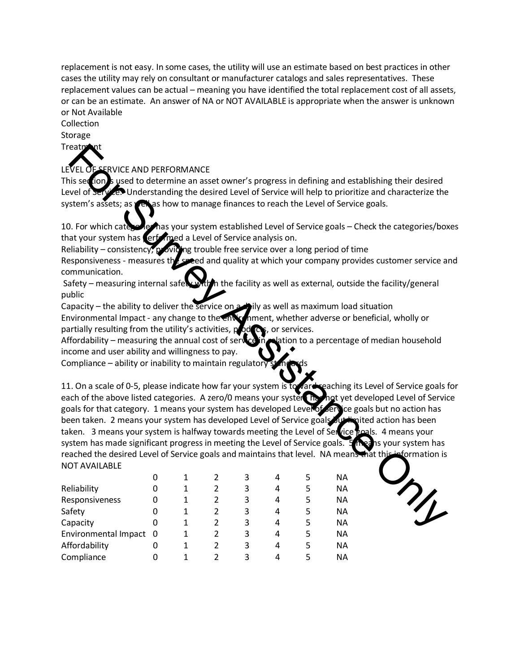replacement is not easy. In some cases, the utility will use an estimate based on best practices in other cases the utility may rely on consultant or manufacturer catalogs and sales representatives. These replacement values can be actual – meaning you have identified the total replacement cost of all assets, or can be an estimate. An answer of NA or NOT AVAILABLE is appropriate when the answer is unknown or Not Available

## Collection

Storage

**Treatment** 

## **ERVICE AND PERFORMANCE**

This section is used to determine an asset owner's progress in defining and establishing their desired Level of Service. Understanding the desired Level of Service will help to prioritize and characterize the system's assets; as well as how to manage finances to reach the Level of Service goals.

10. For which categories has your system established Level of Service goals – Check the categories/boxes that your system has erformed a Level of Service analysis on.

Reliability – consistency, providing trouble free service over a long period of time

Responsiveness - measures the speed and quality at which your company provides customer service and communication.

Safety – measuring internal safety within the facility as well as external, outside the facility/general public

Capacity – the ability to deliver the service on a bily as well as maximum load situation Environmental Impact - any change to the environment, whether adverse or beneficial, wholly or partially resulting from the utility's activities,  $p$  od  $\alpha$ , or services.

Affordability – measuring the annual cost of service in relation to a percentage of median household income and user ability and willingness to pay.

Compliance  $-$  ability or inability to maintain regulatory

11. On a scale of 0-5, please indicate how far your system is to vard reaching its Level of Service goals for each of the above listed categories. A zero/0 means your system has not yet developed Level of Service goals for that category. 1 means your system has developed Level of Service goals but no action has been taken. 2 means your system has developed Level of Service goals but in lited action has been taken. 3 means your system is halfway towards meeting the Level of Service goals. 4 means your system has made significant progress in meeting the Level of Service goals. 5 means your system has reached the desired Level of Service goals and maintains that level. NA means that this information is NOT AVAILABLE EXERCT THE SURVEY AND THE SURVEY STATE THE SURVEY STATE THE SURVEY STATE IS A CONDITION OF THE SURVEY AND THE SURVEY AND THE SURVEY AND THE SURVEY AND THE SURVEY AND THE SURVEY AND THE SURVEY AND THE SURVEY AND THE SURVEY

|                        | 0 |               | 3 | 4 | 5 | ΝA        |
|------------------------|---|---------------|---|---|---|-----------|
| Reliability            | 0 | 2             | 3 | 4 | 5 | <b>NA</b> |
| Responsiveness         | 0 | 2             | 3 | 4 | 5 | <b>NA</b> |
| Safety                 | 0 | 2             | 3 | 4 | 5 | NА        |
| Capacity               | 0 | 2             | 3 | 4 | 5 | NА        |
| Environmental Impact 0 |   | 2             | 3 | 4 | 5 | <b>NA</b> |
| Affordability          | 0 | 2             | 3 | 4 | 5 | NА        |
| Compliance             | 0 | $\mathcal{P}$ | 3 | 4 | 5 | <b>NA</b> |

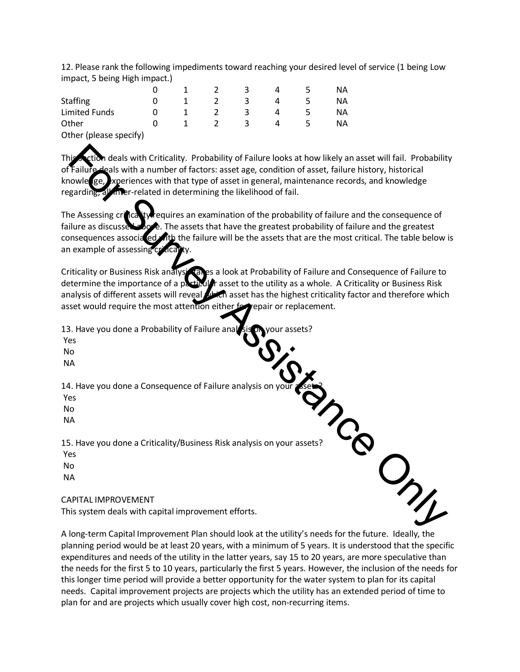12. Please rank the following impediments toward reaching your desired level of service (1 being Low impact, 5 being High impact.)

|                        |  |   |   | ΝA |
|------------------------|--|---|---|----|
| <b>Staffing</b>        |  |   |   | NА |
| <b>Limited Funds</b>   |  |   | Д | ΝA |
| Other                  |  | ≺ | 4 | ΝA |
| Other (please specify) |  |   |   |    |

deals with Criticality. Probability of Failure looks at how likely an asset will fail. Probability gals with a number of factors: asset age, condition of asset, failure history, historical knowle ge, experiences with that type of asset in general, maintenance records, and knowledge regarding, all meer-related in determining the likelihood of fail.

The Assessing cricality requires an examination of the probability of failure and the consequence of failure as discussed above. The assets that have the greatest probability of failure and the greatest consequences associated with the failure will be the assets that are the most critical. The table below is an example of assessing **Example Internal Solution** Criticality, Probability of Failure looks at how likely an asset will fail. Probability<br>Failure and the number of factors: asset age, condition of asset, latince history, historical<br>garding and

Criticality or Business Risk analysical es a look at Probability of Failure and Consequence of Failure to determine the importance of a particular asset to the utility as a whole. A Criticality or Business Risk analysis of different assets will reveal with asset has the highest criticality factor and therefore which asset would require the most attention either for replacement.

13. Have you done a Probability of Failure analysis nyour assets?

Yes

No

NA

14. Have you done a Consequence of Failure analysis on y

Yes

No

NA

15. Have you done a Criticality/Business Risk analysis on your assets?

Yes

No

NA

## CAPITAL IMPROVEMENT

This system deals with capital improvement efforts.

A long-term Capital Improvement Plan should look at the utility's needs for the future. Ideally, the planning period would be at least 20 years, with a minimum of 5 years. It is understood that the specific expenditures and needs of the utility in the latter years, say 15 to 20 years, are more speculative than the needs for the first 5 to 10 years, particularly the first 5 years. However, the inclusion of the needs for this longer time period will provide a better opportunity for the water system to plan for its capital needs. Capital improvement projects are projects which the utility has an extended period of time to plan for and are projects which usually cover high cost, non-recurring items.